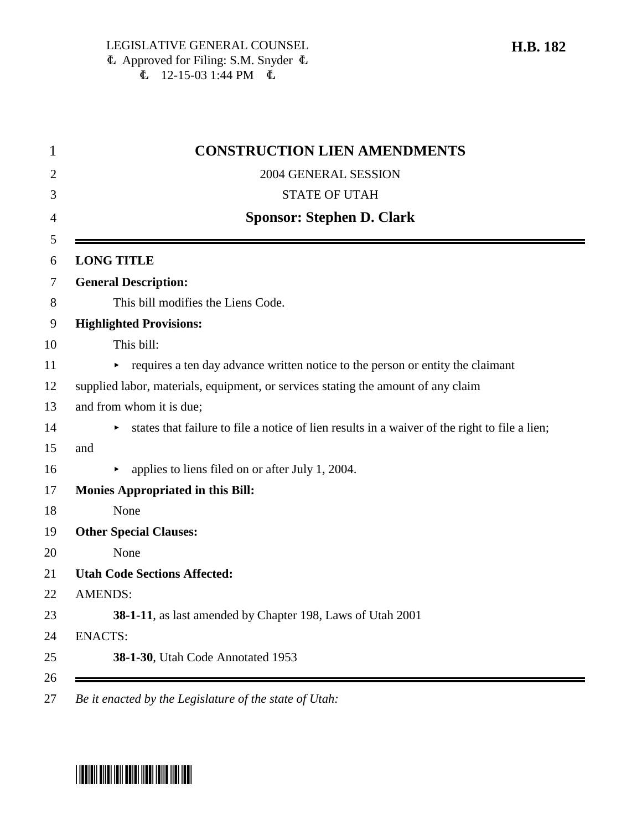| <b>CONSTRUCTION LIEN AMENDMENTS</b>                                                           |
|-----------------------------------------------------------------------------------------------|
| 2004 GENERAL SESSION                                                                          |
| <b>STATE OF UTAH</b>                                                                          |
| <b>Sponsor: Stephen D. Clark</b>                                                              |
| <b>LONG TITLE</b>                                                                             |
| <b>General Description:</b>                                                                   |
| This bill modifies the Liens Code.                                                            |
| <b>Highlighted Provisions:</b>                                                                |
| This bill:                                                                                    |
| • requires a ten day advance written notice to the person or entity the claimant              |
| supplied labor, materials, equipment, or services stating the amount of any claim             |
| and from whom it is due;                                                                      |
| states that failure to file a notice of lien results in a waiver of the right to file a lien; |
| and                                                                                           |
| applies to liens filed on or after July 1, 2004.                                              |
| <b>Monies Appropriated in this Bill:</b>                                                      |
| None                                                                                          |
| <b>Other Special Clauses:</b>                                                                 |
| None                                                                                          |
| <b>Utah Code Sections Affected:</b>                                                           |
| <b>AMENDS:</b>                                                                                |
| 38-1-11, as last amended by Chapter 198, Laws of Utah 2001                                    |
| <b>ENACTS:</b>                                                                                |
| 38-1-30, Utah Code Annotated 1953                                                             |

27 *Be it enacted by the Legislature of the state of Utah:*

# \*HB0182\*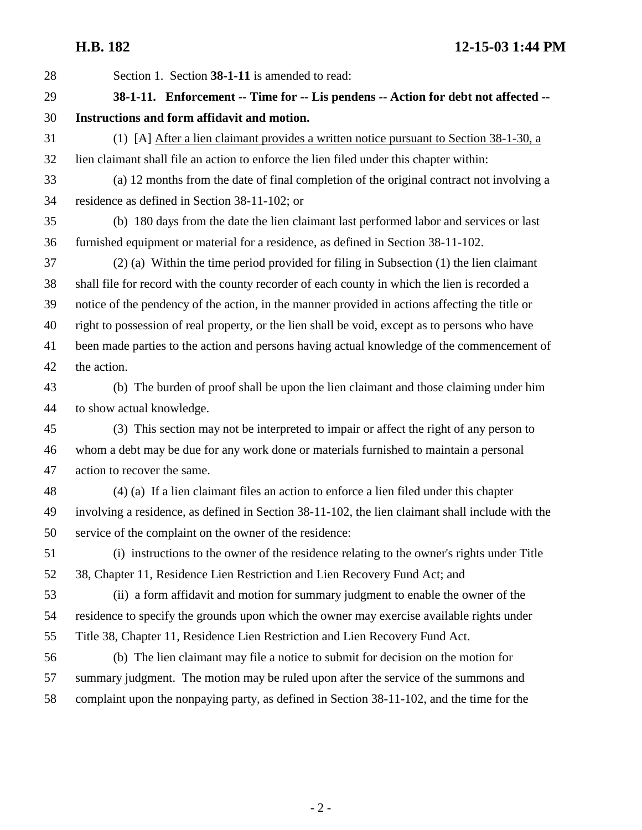**H.B. 182 12-15-03 1:44 PM**

28 Section 1. Section **38-1-11** is amended to read: 29 **38-1-11. Enforcement -- Time for -- Lis pendens -- Action for debt not affected --** 30 **Instructions and form affidavit and motion.** 31 (1) [A] After a lien claimant provides a written notice pursuant to Section 38-1-30, a 32 lien claimant shall file an action to enforce the lien filed under this chapter within: 33 (a) 12 months from the date of final completion of the original contract not involving a 34 residence as defined in Section 38-11-102; or 35 (b) 180 days from the date the lien claimant last performed labor and services or last 36 furnished equipment or material for a residence, as defined in Section 38-11-102. 37 (2) (a) Within the time period provided for filing in Subsection (1) the lien claimant 38 shall file for record with the county recorder of each county in which the lien is recorded a 39 notice of the pendency of the action, in the manner provided in actions affecting the title or 40 right to possession of real property, or the lien shall be void, except as to persons who have 41 been made parties to the action and persons having actual knowledge of the commencement of 42 the action. 43 (b) The burden of proof shall be upon the lien claimant and those claiming under him 44 to show actual knowledge. 45 (3) This section may not be interpreted to impair or affect the right of any person to 46 whom a debt may be due for any work done or materials furnished to maintain a personal 47 action to recover the same. 48 (4) (a) If a lien claimant files an action to enforce a lien filed under this chapter 49 involving a residence, as defined in Section 38-11-102, the lien claimant shall include with the 50 service of the complaint on the owner of the residence: 51 (i) instructions to the owner of the residence relating to the owner's rights under Title 52 38, Chapter 11, Residence Lien Restriction and Lien Recovery Fund Act; and 53 (ii) a form affidavit and motion for summary judgment to enable the owner of the 54 residence to specify the grounds upon which the owner may exercise available rights under 55 Title 38, Chapter 11, Residence Lien Restriction and Lien Recovery Fund Act. 56 (b) The lien claimant may file a notice to submit for decision on the motion for 57 summary judgment. The motion may be ruled upon after the service of the summons and 58 complaint upon the nonpaying party, as defined in Section 38-11-102, and the time for the